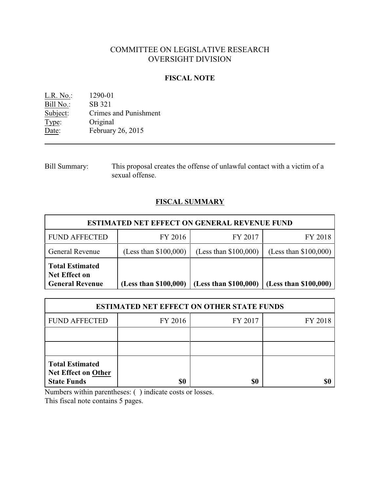# COMMITTEE ON LEGISLATIVE RESEARCH OVERSIGHT DIVISION

## **FISCAL NOTE**

L.R. No.: 1290-01 Bill No.: SB 321<br>Subject: Crimes Subject: Crimes and Punishment<br>Type: Original Type: Original<br>Date: February February 26, 2015

Bill Summary: This proposal creates the offense of unlawful contact with a victim of a sexual offense.

## **FISCAL SUMMARY**

| <b>ESTIMATED NET EFFECT ON GENERAL REVENUE FUND</b>                      |                         |                         |                         |  |
|--------------------------------------------------------------------------|-------------------------|-------------------------|-------------------------|--|
| <b>FUND AFFECTED</b>                                                     | FY 2016                 | FY 2017                 | FY 2018                 |  |
| <b>General Revenue</b>                                                   | (Less than $$100,000$ ) | (Less than $$100,000$ ) | (Less than $$100,000$ ) |  |
| <b>Total Estimated</b><br><b>Net Effect on</b><br><b>General Revenue</b> | (Less than \$100,000)   | (Less than \$100,000)   | (Less than \$100,000)   |  |

| <b>ESTIMATED NET EFFECT ON OTHER STATE FUNDS</b>                           |         |         |         |  |
|----------------------------------------------------------------------------|---------|---------|---------|--|
| <b>FUND AFFECTED</b>                                                       | FY 2016 | FY 2017 | FY 2018 |  |
|                                                                            |         |         |         |  |
|                                                                            |         |         |         |  |
| <b>Total Estimated</b><br><b>Net Effect on Other</b><br><b>State Funds</b> | \$0     | \$0     |         |  |

Numbers within parentheses: ( ) indicate costs or losses.

This fiscal note contains 5 pages.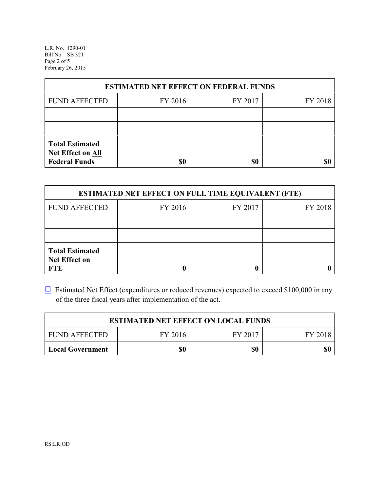L.R. No. 1290-01 Bill No. SB 321 Page 2 of 5 February 26, 2015

| <b>ESTIMATED NET EFFECT ON FEDERAL FUNDS</b>                        |         |         |         |  |
|---------------------------------------------------------------------|---------|---------|---------|--|
| <b>FUND AFFECTED</b>                                                | FY 2016 | FY 2017 | FY 2018 |  |
|                                                                     |         |         |         |  |
|                                                                     |         |         |         |  |
| <b>Total Estimated</b><br>Net Effect on All<br><b>Federal Funds</b> | \$0     | \$0     |         |  |

| <b>ESTIMATED NET EFFECT ON FULL TIME EQUIVALENT (FTE)</b>    |         |         |         |  |
|--------------------------------------------------------------|---------|---------|---------|--|
| <b>FUND AFFECTED</b>                                         | FY 2016 | FY 2017 | FY 2018 |  |
|                                                              |         |         |         |  |
|                                                              |         |         |         |  |
| <b>Total Estimated</b><br><b>Net Effect on</b><br><b>FTE</b> |         |         |         |  |

 $\Box$  Estimated Net Effect (expenditures or reduced revenues) expected to exceed \$100,000 in any of the three fiscal years after implementation of the act.

| <b>ESTIMATED NET EFFECT ON LOCAL FUNDS</b> |         |         |         |
|--------------------------------------------|---------|---------|---------|
| <b>FUND AFFECTED</b>                       | FY 2016 | FY 2017 | FY 2018 |
| Local Government                           | \$0     | \$0     | \$0     |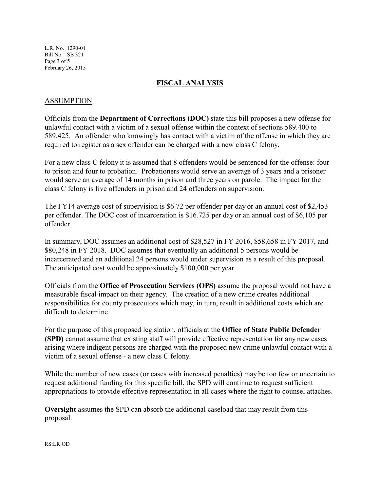L.R. No. 1290-01 Bill No. SB 321 Page 3 of 5 February 26, 2015

## **FISCAL ANALYSIS**

## ASSUMPTION

Officials from the **Department of Corrections (DOC)** state this bill proposes a new offense for unlawful contact with a victim of a sexual offense within the context of sections 589.400 to 589.425. An offender who knowingly has contact with a victim of the offense in which they are required to register as a sex offender can be charged with a new class C felony.

For a new class C felony it is assumed that 8 offenders would be sentenced for the offense: four to prison and four to probation. Probationers would serve an average of 3 years and a prisoner would serve an average of 14 months in prison and three years on parole. The impact for the class C felony is five offenders in prison and 24 offenders on supervision.

The FY14 average cost of supervision is \$6.72 per offender per day or an annual cost of \$2,453 per offender. The DOC cost of incarceration is \$16.725 per day or an annual cost of \$6,105 per offender.

In summary, DOC assumes an additional cost of \$28,527 in FY 2016, \$58,658 in FY 2017, and \$80,248 in FY 2018. DOC assumes that eventually an additional 5 persons would be incarcerated and an additional 24 persons would under supervision as a result of this proposal. The anticipated cost would be approximately \$100,000 per year.

Officials from the **Office of Prosecution Services (OPS)** assume the proposal would not have a measurable fiscal impact on their agency. The creation of a new crime creates additional responsibilities for county prosecutors which may, in turn, result in additional costs which are difficult to determine.

For the purpose of this proposed legislation, officials at the **Office of State Public Defender (SPD)** cannot assume that existing staff will provide effective representation for any new cases arising where indigent persons are charged with the proposed new crime unlawful contact with a victim of a sexual offense - a new class C felony.

While the number of new cases (or cases with increased penalties) may be too few or uncertain to request additional funding for this specific bill, the SPD will continue to request sufficient appropriations to provide effective representation in all cases where the right to counsel attaches.

**Oversight** assumes the SPD can absorb the additional caseload that may result from this proposal.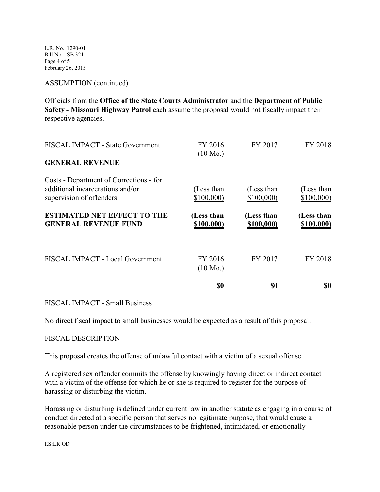L.R. No. 1290-01 Bill No. SB 321 Page 4 of 5 February 26, 2015

#### ASSUMPTION (continued)

Officials from the **Office of the State Courts Administrator** and the **Department of Public Safety - Missouri Highway Patrol** each assume the proposal would not fiscally impact their respective agencies.

| FISCAL IMPACT - State Government                                                                        | FY 2016<br>$(10 \text{ Mo.})$ | FY 2017                  | FY 2018                  |
|---------------------------------------------------------------------------------------------------------|-------------------------------|--------------------------|--------------------------|
| <b>GENERAL REVENUE</b>                                                                                  |                               |                          |                          |
| Costs - Department of Corrections - for<br>additional incarcerations and/or<br>supervision of offenders | (Less than<br>\$100,000       | (Less than<br>\$100,000  | (Less than<br>\$100,000  |
| <b>ESTIMATED NET EFFECT TO THE</b><br><b>GENERAL REVENUE FUND</b>                                       | (Less than<br>\$100,000)      | (Less than<br>\$100,000) | (Less than<br>\$100,000) |
| FISCAL IMPACT - Local Government                                                                        | FY 2016<br>$(10 \text{ Mo.})$ | FY 2017                  | FY 2018                  |
|                                                                                                         | <u>\$0</u>                    | <u>\$0</u>               | <u>so</u>                |

#### FISCAL IMPACT - Small Business

No direct fiscal impact to small businesses would be expected as a result of this proposal.

#### FISCAL DESCRIPTION

This proposal creates the offense of unlawful contact with a victim of a sexual offense.

A registered sex offender commits the offense by knowingly having direct or indirect contact with a victim of the offense for which he or she is required to register for the purpose of harassing or disturbing the victim.

Harassing or disturbing is defined under current law in another statute as engaging in a course of conduct directed at a specific person that serves no legitimate purpose, that would cause a reasonable person under the circumstances to be frightened, intimidated, or emotionally

RS:LR:OD